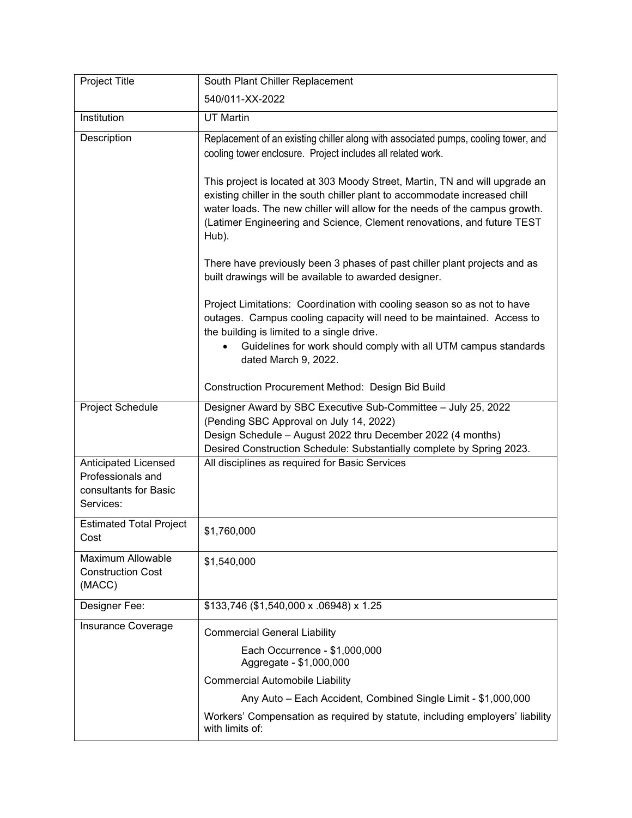| Project Title                                                                   | South Plant Chiller Replacement                                                                                                                                                                                                                                                                                             |
|---------------------------------------------------------------------------------|-----------------------------------------------------------------------------------------------------------------------------------------------------------------------------------------------------------------------------------------------------------------------------------------------------------------------------|
|                                                                                 | 540/011-XX-2022                                                                                                                                                                                                                                                                                                             |
| Institution                                                                     | <b>UT Martin</b>                                                                                                                                                                                                                                                                                                            |
| Description                                                                     | Replacement of an existing chiller along with associated pumps, cooling tower, and<br>cooling tower enclosure. Project includes all related work.                                                                                                                                                                           |
|                                                                                 | This project is located at 303 Moody Street, Martin, TN and will upgrade an<br>existing chiller in the south chiller plant to accommodate increased chill<br>water loads. The new chiller will allow for the needs of the campus growth.<br>(Latimer Engineering and Science, Clement renovations, and future TEST<br>Hub). |
|                                                                                 | There have previously been 3 phases of past chiller plant projects and as<br>built drawings will be available to awarded designer.                                                                                                                                                                                          |
|                                                                                 | Project Limitations: Coordination with cooling season so as not to have<br>outages. Campus cooling capacity will need to be maintained. Access to<br>the building is limited to a single drive.<br>Guidelines for work should comply with all UTM campus standards<br>dated March 9, 2022.                                  |
|                                                                                 | Construction Procurement Method: Design Bid Build                                                                                                                                                                                                                                                                           |
| Project Schedule                                                                | Designer Award by SBC Executive Sub-Committee - July 25, 2022<br>(Pending SBC Approval on July 14, 2022)<br>Design Schedule - August 2022 thru December 2022 (4 months)<br>Desired Construction Schedule: Substantially complete by Spring 2023.                                                                            |
| Anticipated Licensed<br>Professionals and<br>consultants for Basic<br>Services: | All disciplines as required for Basic Services                                                                                                                                                                                                                                                                              |
| <b>Estimated Total Project</b><br>Cost                                          | \$1,760,000                                                                                                                                                                                                                                                                                                                 |
| <b>Maximum Allowable</b><br><b>Construction Cost</b><br>(MACC)                  | \$1,540,000                                                                                                                                                                                                                                                                                                                 |
| Designer Fee:                                                                   | \$133,746 (\$1,540,000 x .06948) x 1.25                                                                                                                                                                                                                                                                                     |
| Insurance Coverage                                                              | <b>Commercial General Liability</b>                                                                                                                                                                                                                                                                                         |
|                                                                                 | Each Occurrence - \$1,000,000<br>Aggregate - \$1,000,000                                                                                                                                                                                                                                                                    |
|                                                                                 | <b>Commercial Automobile Liability</b>                                                                                                                                                                                                                                                                                      |
|                                                                                 | Any Auto - Each Accident, Combined Single Limit - \$1,000,000                                                                                                                                                                                                                                                               |
|                                                                                 | Workers' Compensation as required by statute, including employers' liability<br>with limits of:                                                                                                                                                                                                                             |